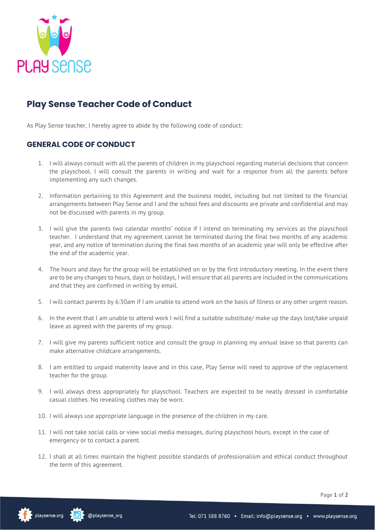

## **Play Sense Teacher Code of Conduct**

As Play Sense teacher, I hereby agree to abide by the following code of conduct:

## **GENERAL CODE OF CONDUCT**

- 1. I will always consult with all the parents of children in my playschool regarding material decisions that concern the playschool. I will consult the parents in writing and wait for a response from all the parents before implementing any such changes.
- 2. Information pertaining to this Agreement and the business model, including but not limited to the financial arrangements between Play Sense and I and the school fees and discounts are private and confidential and may not be discussed with parents in my group.
- 3. I will give the parents two calendar months' notice if I intend on terminating my services as the playschool teacher. I understand that my agreement cannot be terminated during the final two months of any academic year, and any notice of termination during the final two months of an academic year will only be effective after the end of the academic year.
- 4. The hours and days for the group will be established on or by the first introductory meeting. In the event there are to be any changes to hours, days or holidays, I will ensure that all parents are included in the communications and that they are confirmed in writing by email.
- 5. I will contact parents by 6:30am if I am unable to attend work on the basis of Illness or any other urgent reason.
- 6. In the event that I am unable to attend work I will find a suitable substitute/ make up the days lost/take unpaid leave as agreed with the parents of my group.
- 7. I will give my parents sufficient notice and consult the group in planning my annual leave so that parents can make alternative childcare arrangements.
- 8. I am entitled to unpaid maternity leave and in this case, Play Sense will need to approve of the replacement teacher for the group.
- 9. I will always dress appropriately for playschool. Teachers are expected to be neatly dressed in comfortable casual clothes. No revealing clothes may be worn.
- 10. I will always use appropriate language in the presence of the children in my care.
- 11. I will not take social calls or view social media messages, during playschool hours, except in the case of emergency or to contact a parent.
- 12. I shall at all times maintain the highest possible standards of professionalism and ethical conduct throughout the term of this agreement.

Page **1** of **2**